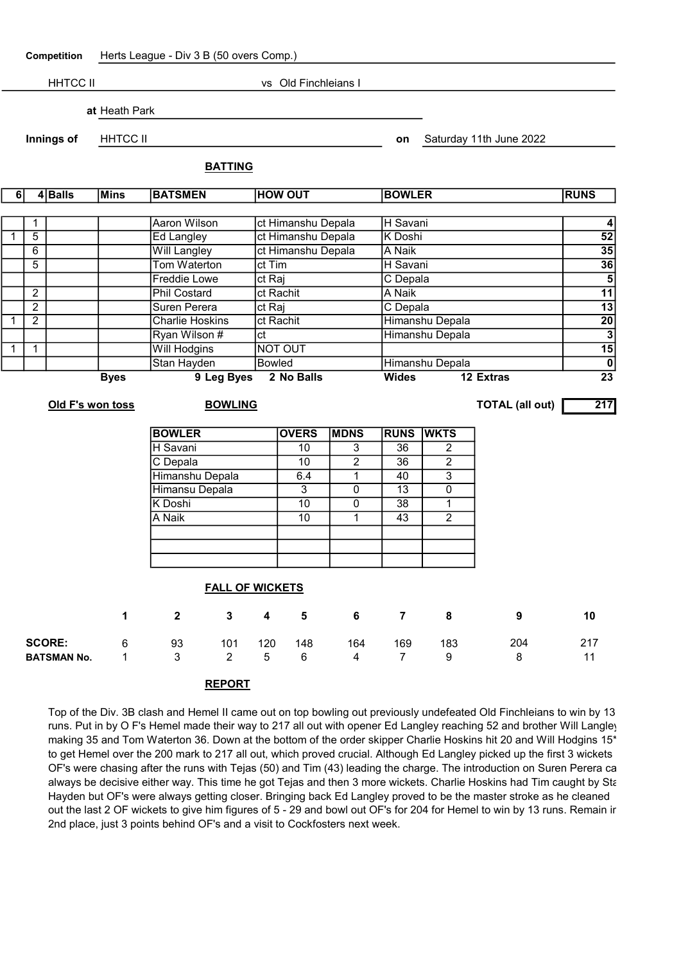Competition Herts League - Div 3 B (50 overs Comp.)

HHTCC II vs Old Finchleians I at Heath Park **Innings of FHHTCC II and Saturday 11th June 2022** BATTING 6 4 Balls Mins BATSMEN HOW OUT BOWLER RUNS 1 | Aaron Wilson | ct Himanshu Depala | H Savani | 4 1 | 5 | The Langley ct Himanshu Depala K Doshi | 52 6 Will Langley ct Himanshu Depala A Naik 35 5 Tom Waterton ct Tim H Savani 36

2 Phil Costard ct Rachit A Naik 11

Freddie Lowe Ct Raj C Depala Control C Depala 5

| $\overline{2}$         |                |                    | Suren Perera |                         | ct Raj         |               |                         | C Depala       | 13<br>$\overline{20}$ |                 |                        |                                            |  |
|------------------------|----------------|--------------------|--------------|-------------------------|----------------|---------------|-------------------------|----------------|-----------------------|-----------------|------------------------|--------------------------------------------|--|
| 1                      | $\overline{2}$ |                    |              | <b>Charlie Hoskins</b>  |                | ct Rachit     |                         |                |                       | Himanshu Depala |                        |                                            |  |
|                        |                |                    |              | Ryan Wilson #           |                | ct            |                         |                |                       | Himanshu Depala |                        |                                            |  |
| $\mathbf{1}$           | $\mathbf{1}$   |                    |              | <b>Will Hodgins</b>     |                | NOT OUT       |                         |                |                       |                 |                        |                                            |  |
|                        |                |                    |              | Stan Hayden             |                | <b>Bowled</b> |                         |                |                       | Himanshu Depala |                        |                                            |  |
|                        |                |                    | <b>Byes</b>  |                         | 9 Leg Byes     |               | 2 No Balls              |                | <b>Wides</b>          |                 | 12 Extras              | $\overline{\mathbf{0}}$<br>$\overline{23}$ |  |
|                        |                | Old F's won toss   |              |                         | <b>BOWLING</b> |               |                         |                |                       |                 | <b>TOTAL (all out)</b> | 217                                        |  |
|                        |                |                    |              | <b>BOWLER</b>           |                |               | <b>OVERS</b>            | <b>MDNS</b>    | <b>RUNS</b>           | <b>WKTS</b>     |                        |                                            |  |
|                        |                |                    |              | H Savani                |                |               | $\overline{10}$         | $\overline{3}$ | $\overline{36}$       | $\overline{2}$  |                        |                                            |  |
|                        |                |                    |              | C Depala                |                |               | 10                      | $\overline{2}$ | 36                    | $\overline{2}$  |                        |                                            |  |
|                        |                |                    |              | Himanshu Depala         |                |               | 6.4                     | $\mathbf{1}$   | 40                    | $\overline{3}$  |                        |                                            |  |
|                        |                |                    |              | Himansu Depala          |                |               | $\overline{3}$          | $\overline{0}$ | $\overline{13}$       | $\overline{0}$  |                        |                                            |  |
|                        |                |                    |              | K Doshi                 |                |               | 10                      | 0              | $\overline{38}$       | 1               |                        |                                            |  |
|                        |                |                    |              | A Naik                  |                |               | $\overline{10}$         | $\mathbf{1}$   | $\overline{43}$       | $\overline{2}$  |                        |                                            |  |
|                        |                |                    |              |                         |                |               |                         |                |                       |                 |                        |                                            |  |
|                        |                |                    |              |                         |                |               |                         |                |                       |                 |                        |                                            |  |
| <b>FALL OF WICKETS</b> |                |                    |              |                         |                |               |                         |                |                       |                 |                        |                                            |  |
|                        |                |                    | 1            | $\overline{\mathbf{2}}$ | $\mathbf{3}$   | 4             | $\overline{\mathbf{5}}$ | 6              | $\overline{7}$        | 8               | 9                      | 10                                         |  |
|                        |                | <b>SCORE:</b>      | 6            | 93                      | 101            | 120           | 148                     | 164            | 169                   | 183             | 204                    | 217                                        |  |
|                        |                | <b>BATSMAN No.</b> | 1            | 3                       | $\overline{2}$ | 5             | $6\,$                   | $\overline{4}$ | $\overline{7}$        | $9\,$           | 8                      | 11                                         |  |
|                        |                |                    |              |                         | <b>REPORT</b>  |               |                         |                |                       |                 |                        |                                            |  |

Top of the Div. 3B clash and Hemel II came out on top bowling out previously undefeated Old Finchleians to win by 13 runs. Put in by O F's Hemel made their way to 217 all out with opener Ed Langley reaching 52 and brother Will Langley making 35 and Tom Waterton 36. Down at the bottom of the order skipper Charlie Hoskins hit 20 and Will Hodgins 15\* to get Hemel over the 200 mark to 217 all out, which proved crucial. Although Ed Langley picked up the first 3 wickets OF's were chasing after the runs with Tejas (50) and Tim (43) leading the charge. The introduction on Suren Perera can always be decisive either way. This time he got Tejas and then 3 more wickets. Charlie Hoskins had Tim caught by Sta Hayden but OF's were always getting closer. Bringing back Ed Langley proved to be the master stroke as he cleaned out the last 2 OF wickets to give him figures of 5 - 29 and bowl out OF's for 204 for Hemel to win by 13 runs. Remain in 2nd place, just 3 points behind OF's and a visit to Cockfosters next week.